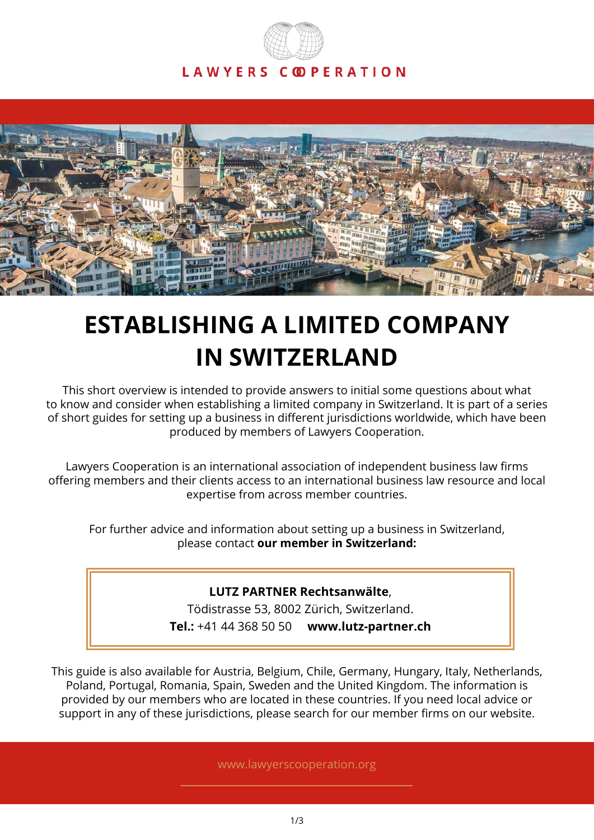



# **ESTABLISHING A LIMITED COMPANY IN SWITZERLAND**

This short overview is intended to provide answers to initial some questions about what to know and consider when establishing a limited company in Switzerland. It is part of a series of short guides for setting up a business in different jurisdictions worldwide, which have been produced by members of Lawyers Cooperation.

Lawyers Cooperation is an international association of independent business law firms offering members and their clients access to an international business law resource and local expertise from across member countries.

For further advice and information about setting up a business in Switzerland, please contact **our member in Switzerland:**

# **LUTZ PARTNER Rechtsanwälte**,

Tödistrasse 53, 8002 Zürich, Switzerland.

**Tel.:** +41 44 368 50 50 **www.lutz-partner.ch**

This guide is also available for Austria, Belgium, Chile, Germany, Hungary, Italy, Netherlands, Poland, Portugal, Romania, Spain, Sweden and the United Kingdom. The information is provided by our members who are located in these countries. If you need local advice or support in any of these jurisdictions, please search for our member firms on our website.

www.lawyerscooperation.org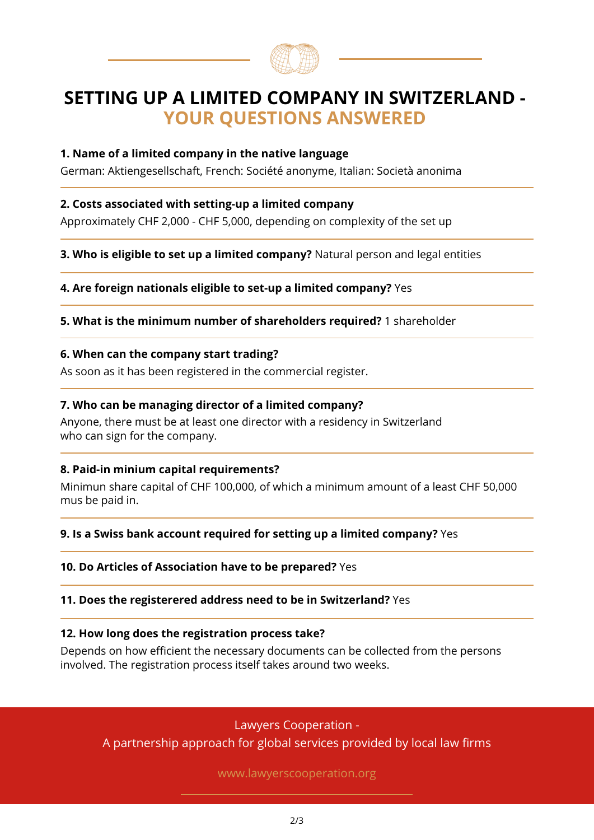

# **SETTING UP A LIMITED COMPANY IN SWITZERLAND - YOUR QUESTIONS ANSWERED**

# **1. Name of a limited company in the native language**

German: Aktiengesellschaft, French: Société anonyme, Italian: Società anonima

# **2. Costs associated with setting-up a limited company**

Approximately CHF 2,000 - CHF 5,000, depending on complexity of the set up

**3. Who is eligible to set up a limited company?** Natural person and legal entities

**4. Are foreign nationals eligible to set-up a limited company?** Yes

**5. What is the minimum number of shareholders required?** 1 shareholder

#### **6. When can the company start trading?**

As soon as it has been registered in the commercial register.

#### **7. Who can be managing director of a limited company?**

Anyone, there must be at least one director with a residency in Switzerland who can sign for the company.

# **8. Paid-in minium capital requirements?**

Minimun share capital of CHF 100,000, of which a minimum amount of a least CHF 50,000 mus be paid in.

# **9. Is a Swiss bank account required for setting up a limited company?** Yes

# **10. Do Articles of Association have to be prepared?** Yes

#### **11. Does the registerered address need to be in Switzerland?** Yes

#### **12. How long does the registration process take?**

Depends on how efficient the necessary documents can be collected from the persons involved. The registration process itself takes around two weeks.

# Lawyers Cooperation -

A partnership approach for global services provided by local law firms

www.lawyerscooperation.org